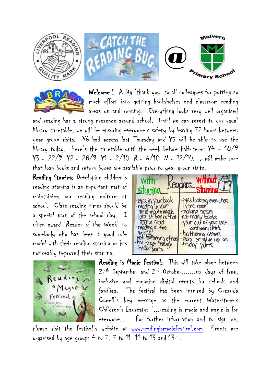



Welcome ! A big 'thank you' to all colleagues for putting so much effort into getting bookshelves and classroom reading areas up and running. Everything looks very well organised

and reading has a strong presence around school. Until we can revert to our usual library timetable, we will be ensuring everyone's safety by leaving 72 hours between year group visits. Y6 had access last Thursday and Y5 will be able to use the library today. Here's the timetable until the week before half-term: Y4 – 18/9 Y3 – 22/9 Y2 – 28/9 Y1 – 2/10 R – 6/10 N – 12/10. I will make sure that loan books and return boxes are available prior to year group visits.

Reading Stamina: Developing children's reading stamina is an important part of maintaining our reading culture at school. Class reading times should be a special part of the school day. I often award 'Reader of the Week' to somebody who has been a good role model with their reading stamina or has noticeably improved their stamina.





Reading is Magic Festival: This will take place between 27th September and 2<sup>nd</sup> October.......six days of free, inclusive and engaging digital events for schools and families. The festival has been inspired by Cressida Cowell's key message as the current Waterstone's Children's Laureate: '...reading is magic and magic is for everyone...' For further information and to sign up,

please visit the festival's website at [www.readingismagicfestival.com](http://www.readingismagicfestival.com/) Events are organised by age group: 4 to  $7.7$  to 11, 11 to 13 and 13+.